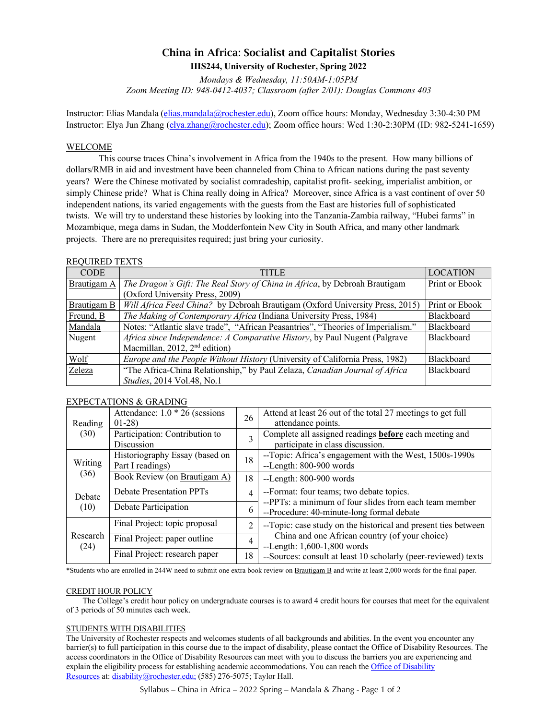# China in Africa: Socialist and Capitalist Stories **HIS244, University of Rochester, Spring 2022**

*Mondays & Wednesday, 11:50AM-1:05PM Zoom Meeting ID: 948-0412-4037; Classroom (after 2/01): Douglas Commons 403*

Instructor: Elias Mandala (elias.mandala@rochester.edu), Zoom office hours: Monday, Wednesday 3:30-4:30 PM Instructor: Elya Jun Zhang (elya.zhang@rochester.edu); Zoom office hours: Wed 1:30-2:30PM (ID: 982-5241-1659)

## WELCOME

This course traces China's involvement in Africa from the 1940s to the present. How many billions of dollars/RMB in aid and investment have been channeled from China to African nations during the past seventy years? Were the Chinese motivated by socialist comradeship, capitalist profit- seeking, imperialist ambition, or simply Chinese pride? What is China really doing in Africa? Moreover, since Africa is a vast continent of over 50 independent nations, its varied engagements with the guests from the East are histories full of sophisticated twists. We will try to understand these histories by looking into the Tanzania-Zambia railway, "Hubei farms" in Mozambique, mega dams in Sudan, the Modderfontein New City in South Africa, and many other landmark projects. There are no prerequisites required; just bring your curiosity.

## REQUIRED TEXTS

| <b>CODE</b>        | TITLE                                                                            | <b>LOCATION</b>   |
|--------------------|----------------------------------------------------------------------------------|-------------------|
| Brautigam A        | The Dragon's Gift: The Real Story of China in Africa, by Debroah Brautigam       |                   |
|                    | (Oxford University Press, 2009)                                                  |                   |
| <b>Brautigam B</b> | Will Africa Feed China? by Debroah Brautigam (Oxford University Press, 2015)     | Print or Ebook    |
| Freund, B          | The Making of Contemporary Africa (Indiana University Press, 1984)               | <b>Blackboard</b> |
| Mandala            | Notes: "Atlantic slave trade", "African Peasantries", "Theories of Imperialism." | <b>Blackboard</b> |
| Nugent             | Africa since Independence: A Comparative History, by Paul Nugent (Palgrave       |                   |
|                    | Macmillan, 2012, 2 <sup>nd</sup> edition)                                        |                   |
| Wolf               | Europe and the People Without History (University of California Press, 1982)     | <b>Blackboard</b> |
| Zeleza             | "The Africa-China Relationship," by Paul Zelaza, Canadian Journal of Africa      | <b>Blackboard</b> |
|                    | Studies, 2014 Vol.48, No.1                                                       |                   |

## EXPECTATIONS & GRADING

| Reading<br>(30)  | Attendance: $1.0 * 26$ (sessions<br>$01-28$        | 26 | Attend at least 26 out of the total 27 meetings to get full<br>attendance points.                   |  |
|------------------|----------------------------------------------------|----|-----------------------------------------------------------------------------------------------------|--|
|                  | Participation: Contribution to<br>Discussion       | 3  | Complete all assigned readings <b>before</b> each meeting and<br>participate in class discussion.   |  |
| Writing<br>(36)  | Historiography Essay (based on<br>Part I readings) | 18 | --Topic: Africa's engagement with the West, 1500s-1990s<br>--Length: 800-900 words                  |  |
|                  | Book Review (on Brautigam A)                       | 18 | --Length: 800-900 words                                                                             |  |
| Debate<br>(10)   | <b>Debate Presentation PPTs</b>                    | 4  | --Format: four teams; two debate topics.                                                            |  |
|                  | Debate Participation                               | 6  | --PPTs: a minimum of four slides from each team member<br>--Procedure: 40-minute-long formal debate |  |
| Research<br>(24) | Final Project: topic proposal                      | 2  | --Topic: case study on the historical and present ties between                                      |  |
|                  | Final Project: paper outline                       | 4  | China and one African country (of your choice)<br>$-Length: 1,600-1,800$ words                      |  |
|                  | Final Project: research paper                      | 18 | --Sources: consult at least 10 scholarly (peer-reviewed) texts                                      |  |

\*Students who are enrolled in 244W need to submit one extra book review on Brautigam B and write at least 2,000 words for the final paper.

#### CREDIT HOUR POLICY

The College's credit hour policy on undergraduate courses is to award 4 credit hours for courses that meet for the equivalent of 3 periods of 50 minutes each week.

#### STUDENTS WITH DISABILITIES

The University of Rochester respects and welcomes students of all backgrounds and abilities. In the event you encounter any barrier(s) to full participation in this course due to the impact of disability, please contact the Office of Disability Resources. The access coordinators in the Office of Disability Resources can meet with you to discuss the barriers you are experiencing and explain the eligibility process for establishing academic accommodations. You can reach the Office of Disability Resources at: disability@rochester.edu; (585) 276-5075; Taylor Hall.